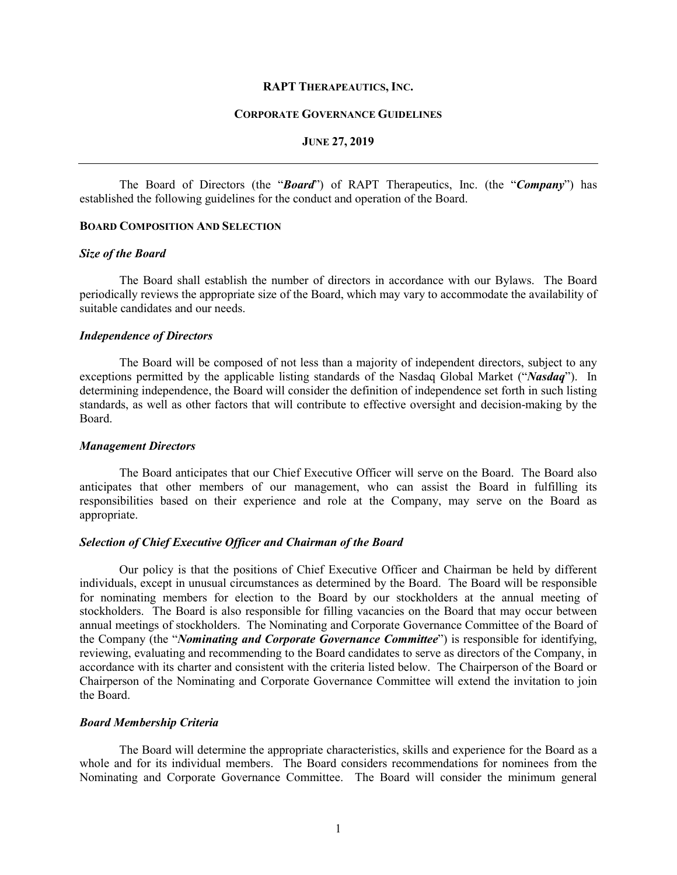#### **RAPT THERAPEAUTICS, INC.**

#### **CORPORATE GOVERNANCE GUIDELINES**

## **JUNE 27, 2019**

The Board of Directors (the "*Board*") of RAPT Therapeutics, Inc. (the "*Company*") has established the following guidelines for the conduct and operation of the Board.

## **BOARD COMPOSITION AND SELECTION**

#### *Size of the Board*

The Board shall establish the number of directors in accordance with our Bylaws. The Board periodically reviews the appropriate size of the Board, which may vary to accommodate the availability of suitable candidates and our needs.

#### *Independence of Directors*

The Board will be composed of not less than a majority of independent directors, subject to any exceptions permitted by the applicable listing standards of the Nasdaq Global Market ("*Nasdaq*"). In determining independence, the Board will consider the definition of independence set forth in such listing standards, as well as other factors that will contribute to effective oversight and decision-making by the Board.

#### *Management Directors*

The Board anticipates that our Chief Executive Officer will serve on the Board. The Board also anticipates that other members of our management, who can assist the Board in fulfilling its responsibilities based on their experience and role at the Company, may serve on the Board as appropriate.

#### *Selection of Chief Executive Officer and Chairman of the Board*

Our policy is that the positions of Chief Executive Officer and Chairman be held by different individuals, except in unusual circumstances as determined by the Board. The Board will be responsible for nominating members for election to the Board by our stockholders at the annual meeting of stockholders. The Board is also responsible for filling vacancies on the Board that may occur between annual meetings of stockholders. The Nominating and Corporate Governance Committee of the Board of the Company (the "*Nominating and Corporate Governance Committee*") is responsible for identifying, reviewing, evaluating and recommending to the Board candidates to serve as directors of the Company, in accordance with its charter and consistent with the criteria listed below. The Chairperson of the Board or Chairperson of the Nominating and Corporate Governance Committee will extend the invitation to join the Board.

### *Board Membership Criteria*

The Board will determine the appropriate characteristics, skills and experience for the Board as a whole and for its individual members. The Board considers recommendations for nominees from the Nominating and Corporate Governance Committee. The Board will consider the minimum general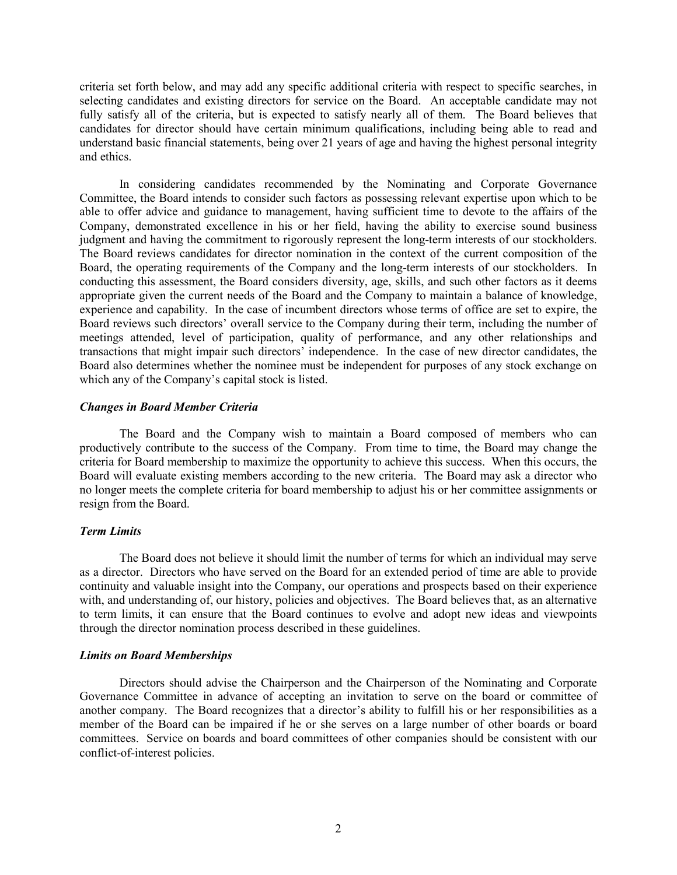criteria set forth below, and may add any specific additional criteria with respect to specific searches, in selecting candidates and existing directors for service on the Board. An acceptable candidate may not fully satisfy all of the criteria, but is expected to satisfy nearly all of them. The Board believes that candidates for director should have certain minimum qualifications, including being able to read and understand basic financial statements, being over 21 years of age and having the highest personal integrity and ethics.

In considering candidates recommended by the Nominating and Corporate Governance Committee, the Board intends to consider such factors as possessing relevant expertise upon which to be able to offer advice and guidance to management, having sufficient time to devote to the affairs of the Company, demonstrated excellence in his or her field, having the ability to exercise sound business judgment and having the commitment to rigorously represent the long-term interests of our stockholders. The Board reviews candidates for director nomination in the context of the current composition of the Board, the operating requirements of the Company and the long-term interests of our stockholders. In conducting this assessment, the Board considers diversity, age, skills, and such other factors as it deems appropriate given the current needs of the Board and the Company to maintain a balance of knowledge, experience and capability. In the case of incumbent directors whose terms of office are set to expire, the Board reviews such directors' overall service to the Company during their term, including the number of meetings attended, level of participation, quality of performance, and any other relationships and transactions that might impair such directors' independence. In the case of new director candidates, the Board also determines whether the nominee must be independent for purposes of any stock exchange on which any of the Company's capital stock is listed.

# *Changes in Board Member Criteria*

The Board and the Company wish to maintain a Board composed of members who can productively contribute to the success of the Company. From time to time, the Board may change the criteria for Board membership to maximize the opportunity to achieve this success. When this occurs, the Board will evaluate existing members according to the new criteria. The Board may ask a director who no longer meets the complete criteria for board membership to adjust his or her committee assignments or resign from the Board.

# *Term Limits*

The Board does not believe it should limit the number of terms for which an individual may serve as a director. Directors who have served on the Board for an extended period of time are able to provide continuity and valuable insight into the Company, our operations and prospects based on their experience with, and understanding of, our history, policies and objectives. The Board believes that, as an alternative to term limits, it can ensure that the Board continues to evolve and adopt new ideas and viewpoints through the director nomination process described in these guidelines.

#### *Limits on Board Memberships*

Directors should advise the Chairperson and the Chairperson of the Nominating and Corporate Governance Committee in advance of accepting an invitation to serve on the board or committee of another company. The Board recognizes that a director's ability to fulfill his or her responsibilities as a member of the Board can be impaired if he or she serves on a large number of other boards or board committees. Service on boards and board committees of other companies should be consistent with our conflict-of-interest policies.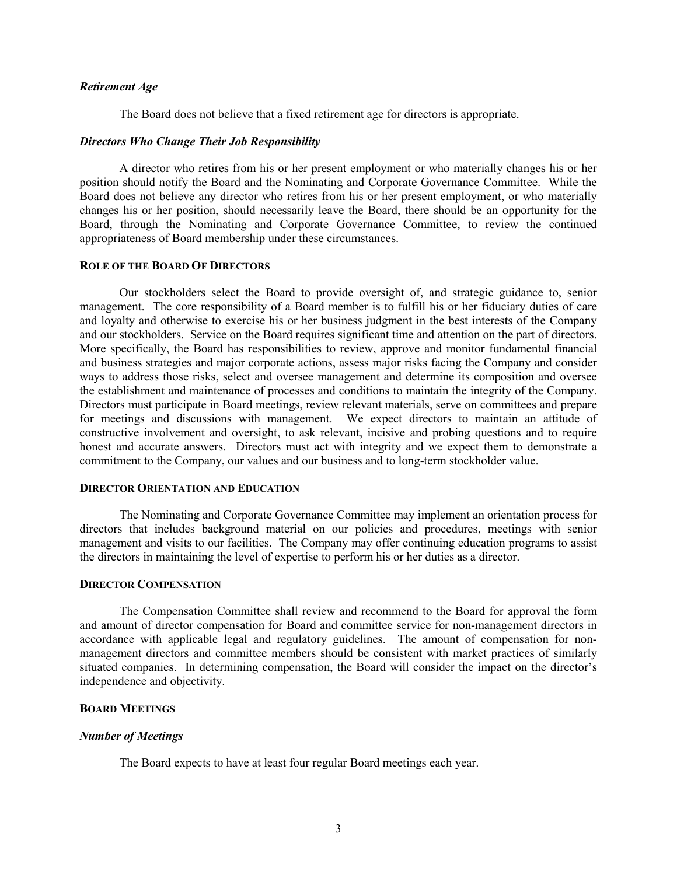### *Retirement Age*

The Board does not believe that a fixed retirement age for directors is appropriate.

### *Directors Who Change Their Job Responsibility*

A director who retires from his or her present employment or who materially changes his or her position should notify the Board and the Nominating and Corporate Governance Committee. While the Board does not believe any director who retires from his or her present employment, or who materially changes his or her position, should necessarily leave the Board, there should be an opportunity for the Board, through the Nominating and Corporate Governance Committee, to review the continued appropriateness of Board membership under these circumstances.

#### **ROLE OF THE BOARD OF DIRECTORS**

Our stockholders select the Board to provide oversight of, and strategic guidance to, senior management. The core responsibility of a Board member is to fulfill his or her fiduciary duties of care and loyalty and otherwise to exercise his or her business judgment in the best interests of the Company and our stockholders. Service on the Board requires significant time and attention on the part of directors. More specifically, the Board has responsibilities to review, approve and monitor fundamental financial and business strategies and major corporate actions, assess major risks facing the Company and consider ways to address those risks, select and oversee management and determine its composition and oversee the establishment and maintenance of processes and conditions to maintain the integrity of the Company. Directors must participate in Board meetings, review relevant materials, serve on committees and prepare for meetings and discussions with management. We expect directors to maintain an attitude of constructive involvement and oversight, to ask relevant, incisive and probing questions and to require honest and accurate answers. Directors must act with integrity and we expect them to demonstrate a commitment to the Company, our values and our business and to long-term stockholder value.

# **DIRECTOR ORIENTATION AND EDUCATION**

The Nominating and Corporate Governance Committee may implement an orientation process for directors that includes background material on our policies and procedures, meetings with senior management and visits to our facilities. The Company may offer continuing education programs to assist the directors in maintaining the level of expertise to perform his or her duties as a director.

## **DIRECTOR COMPENSATION**

The Compensation Committee shall review and recommend to the Board for approval the form and amount of director compensation for Board and committee service for non-management directors in accordance with applicable legal and regulatory guidelines. The amount of compensation for nonmanagement directors and committee members should be consistent with market practices of similarly situated companies. In determining compensation, the Board will consider the impact on the director's independence and objectivity.

#### **BOARD MEETINGS**

#### *Number of Meetings*

The Board expects to have at least four regular Board meetings each year.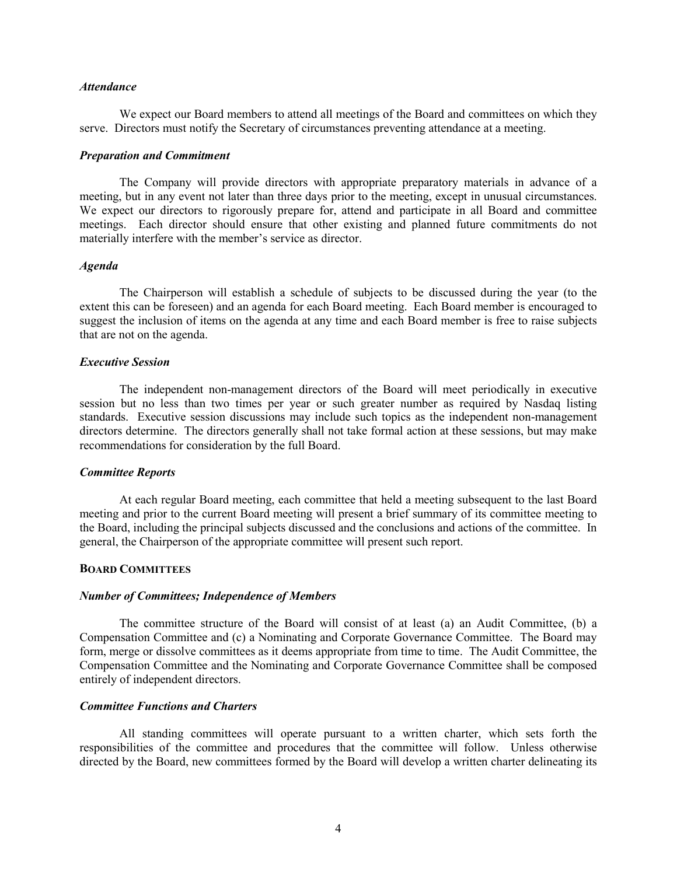#### *Attendance*

We expect our Board members to attend all meetings of the Board and committees on which they serve. Directors must notify the Secretary of circumstances preventing attendance at a meeting.

#### *Preparation and Commitment*

The Company will provide directors with appropriate preparatory materials in advance of a meeting, but in any event not later than three days prior to the meeting, except in unusual circumstances. We expect our directors to rigorously prepare for, attend and participate in all Board and committee meetings. Each director should ensure that other existing and planned future commitments do not materially interfere with the member's service as director.

#### *Agenda*

The Chairperson will establish a schedule of subjects to be discussed during the year (to the extent this can be foreseen) and an agenda for each Board meeting. Each Board member is encouraged to suggest the inclusion of items on the agenda at any time and each Board member is free to raise subjects that are not on the agenda.

### *Executive Session*

The independent non-management directors of the Board will meet periodically in executive session but no less than two times per year or such greater number as required by Nasdaq listing standards. Executive session discussions may include such topics as the independent non-management directors determine. The directors generally shall not take formal action at these sessions, but may make recommendations for consideration by the full Board.

#### *Committee Reports*

At each regular Board meeting, each committee that held a meeting subsequent to the last Board meeting and prior to the current Board meeting will present a brief summary of its committee meeting to the Board, including the principal subjects discussed and the conclusions and actions of the committee. In general, the Chairperson of the appropriate committee will present such report.

### **BOARD COMMITTEES**

### *Number of Committees; Independence of Members*

The committee structure of the Board will consist of at least (a) an Audit Committee, (b) a Compensation Committee and (c) a Nominating and Corporate Governance Committee. The Board may form, merge or dissolve committees as it deems appropriate from time to time. The Audit Committee, the Compensation Committee and the Nominating and Corporate Governance Committee shall be composed entirely of independent directors.

# *Committee Functions and Charters*

All standing committees will operate pursuant to a written charter, which sets forth the responsibilities of the committee and procedures that the committee will follow. Unless otherwise directed by the Board, new committees formed by the Board will develop a written charter delineating its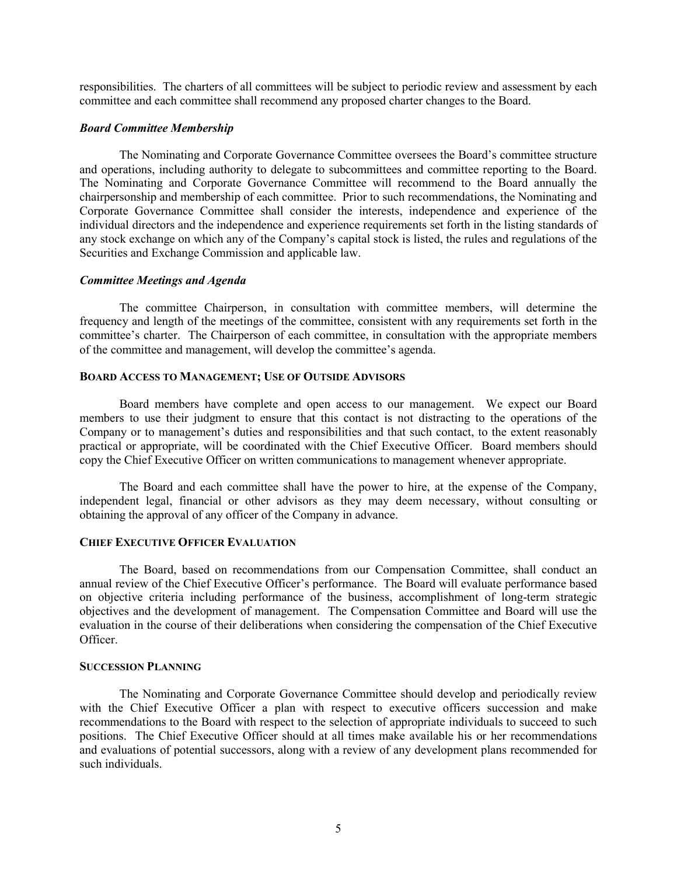responsibilities. The charters of all committees will be subject to periodic review and assessment by each committee and each committee shall recommend any proposed charter changes to the Board.

#### *Board Committee Membership*

The Nominating and Corporate Governance Committee oversees the Board's committee structure and operations, including authority to delegate to subcommittees and committee reporting to the Board. The Nominating and Corporate Governance Committee will recommend to the Board annually the chairpersonship and membership of each committee. Prior to such recommendations, the Nominating and Corporate Governance Committee shall consider the interests, independence and experience of the individual directors and the independence and experience requirements set forth in the listing standards of any stock exchange on which any of the Company's capital stock is listed, the rules and regulations of the Securities and Exchange Commission and applicable law.

#### *Committee Meetings and Agenda*

The committee Chairperson, in consultation with committee members, will determine the frequency and length of the meetings of the committee, consistent with any requirements set forth in the committee's charter. The Chairperson of each committee, in consultation with the appropriate members of the committee and management, will develop the committee's agenda.

## **BOARD ACCESS TO MANAGEMENT; USE OF OUTSIDE ADVISORS**

Board members have complete and open access to our management. We expect our Board members to use their judgment to ensure that this contact is not distracting to the operations of the Company or to management's duties and responsibilities and that such contact, to the extent reasonably practical or appropriate, will be coordinated with the Chief Executive Officer. Board members should copy the Chief Executive Officer on written communications to management whenever appropriate.

The Board and each committee shall have the power to hire, at the expense of the Company, independent legal, financial or other advisors as they may deem necessary, without consulting or obtaining the approval of any officer of the Company in advance.

## **CHIEF EXECUTIVE OFFICER EVALUATION**

The Board, based on recommendations from our Compensation Committee, shall conduct an annual review of the Chief Executive Officer's performance. The Board will evaluate performance based on objective criteria including performance of the business, accomplishment of long-term strategic objectives and the development of management. The Compensation Committee and Board will use the evaluation in the course of their deliberations when considering the compensation of the Chief Executive Officer.

#### **SUCCESSION PLANNING**

The Nominating and Corporate Governance Committee should develop and periodically review with the Chief Executive Officer a plan with respect to executive officers succession and make recommendations to the Board with respect to the selection of appropriate individuals to succeed to such positions. The Chief Executive Officer should at all times make available his or her recommendations and evaluations of potential successors, along with a review of any development plans recommended for such individuals.